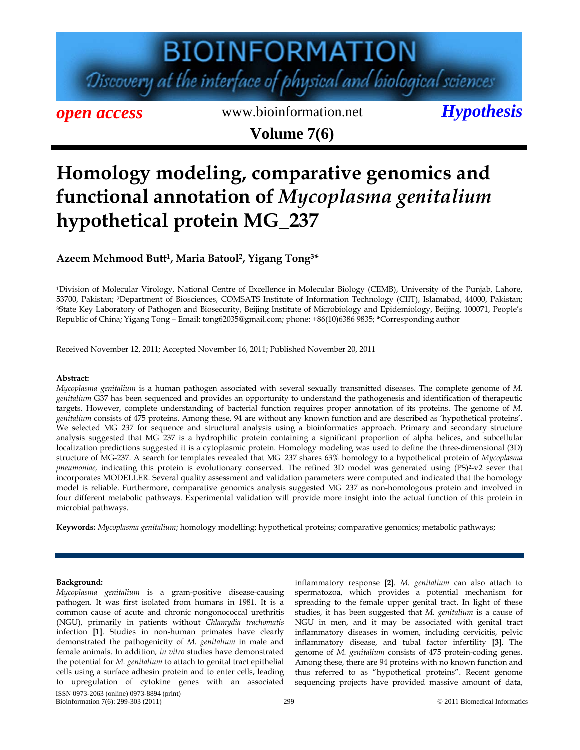# **BIOINFORMATION** Discovery at the interface of physical and biological sciences

*open access* www.bioinformation.net *Hypothesis* **Volume 7(6)**

### **Homology modeling, comparative genomics and functional annotation of** *Mycoplasma genitalium*  **hypothetical protein MG\_237**

### **Azeem Mehmood Butt1, Maria Batool2, Yigang Tong3\***

1Division of Molecular Virology, National Centre of Excellence in Molecular Biology (CEMB), University of the Punjab, Lahore, 53700, Pakistan; 2Department of Biosciences, COMSATS Institute of Information Technology (CIIT), Islamabad, 44000, Pakistan; 3State Key Laboratory of Pathogen and Biosecurity, Beijing Institute of Microbiology and Epidemiology, Beijing, 100071, People's Republic of China; Yigang Tong – Email: tong62035@gmail.com; phone: +86(10)6386 9835; **\***Corresponding author

Received November 12, 2011; Accepted November 16, 2011; Published November 20, 2011

#### **Abstract:**

*Mycoplasma genitalium* is a human pathogen associated with several sexually transmitted diseases. The complete genome of *M. genitalium* G37 has been sequenced and provides an opportunity to understand the pathogenesis and identification of therapeutic targets. However, complete understanding of bacterial function requires proper annotation of its proteins. The genome of *M. genitalium* consists of 475 proteins. Among these, 94 are without any known function and are described as 'hypothetical proteins'. We selected MG\_237 for sequence and structural analysis using a bioinformatics approach. Primary and secondary structure analysis suggested that MG\_237 is a hydrophilic protein containing a significant proportion of alpha helices, and subcellular localization predictions suggested it is a cytoplasmic protein. Homology modeling was used to define the three-dimensional (3D) structure of MG-237. A search for templates revealed that MG\_237 shares 63% homology to a hypothetical protein of *Mycoplasma*  pneumoniae, indicating this protein is evolutionary conserved. The refined 3D model was generated using (PS)<sup>2</sup>-v2 sever that incorporates MODELLER. Several quality assessment and validation parameters were computed and indicated that the homology model is reliable. Furthermore, comparative genomics analysis suggested MG\_237 as non-homologous protein and involved in four different metabolic pathways. Experimental validation will provide more insight into the actual function of this protein in microbial pathways.

**Keywords:** *Mycoplasma genitalium*; homology modelling; hypothetical proteins; comparative genomics; metabolic pathways;

#### **Background:**

ISSN 0973-2063 (online) 0973-8894 (print) Bioinformation 7(6): 299-303 (2011) 299 299 Companion 2001 Biomedical Information 2011 Biomedical Information *Mycoplasma genitalium* is a gram-positive disease-causing pathogen. It was first isolated from humans in 1981. It is a common cause of acute and chronic nongonococcal urethritis (NGU), primarily in patients without *Chlamydia trachomatis* infection **[1]**. Studies in non-human primates have clearly demonstrated the pathogenicity of *M. genitalium* in male and female animals. In addition*, in vitro* studies have demonstrated the potential for *M. genitalium* to attach to genital tract epithelial cells using a surface adhesin protein and to enter cells, leading to upregulation of cytokine genes with an associated

inflammatory response **[2]**. *M. genitalium* can also attach to spermatozoa, which provides a potential mechanism for spreading to the female upper genital tract. In light of these studies, it has been suggested that *M. genitalium* is a cause of NGU in men, and it may be associated with genital tract inflammatory diseases in women, including cervicitis, pelvic inflammatory disease, and tubal factor infertility **[3]**. The genome of *M. genitalium* consists of 475 protein-coding genes. Among these, there are 94 proteins with no known function and thus referred to as "hypothetical proteins". Recent genome sequencing projects have provided massive amount of data,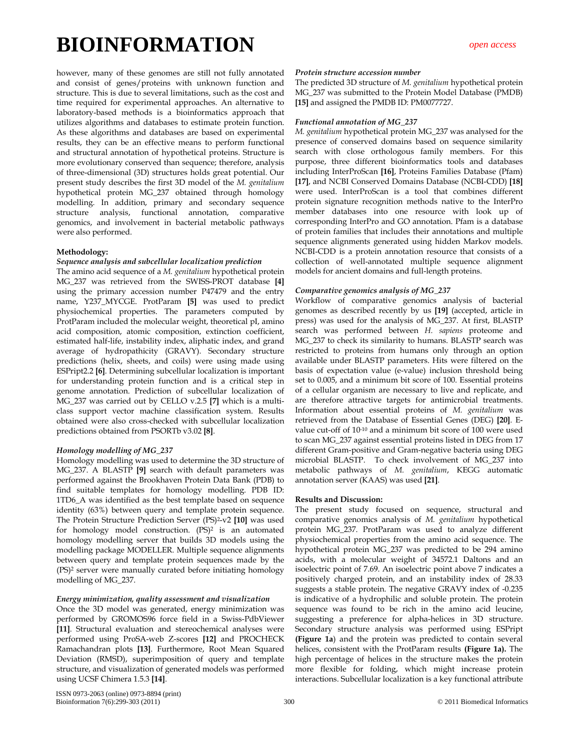however, many of these genomes are still not fully annotated and consist of genes/proteins with unknown function and structure. This is due to several limitations, such as the cost and time required for experimental approaches. An alternative to laboratory-based methods is a bioinformatics approach that utilizes algorithms and databases to estimate protein function. As these algorithms and databases are based on experimental results, they can be an effective means to perform functional and structural annotation of hypothetical proteins. Structure is more evolutionary conserved than sequence; therefore, analysis of three-dimensional (3D) structures holds great potential. Our present study describes the first 3D model of the *M. genitalium* hypothetical protein MG\_237 obtained through homology modelling. In addition, primary and secondary sequence structure analysis, functional annotation, comparative genomics, and involvement in bacterial metabolic pathways were also performed.

#### **Methodology:**

#### *Sequence analysis and subcellular localization prediction*

The amino acid sequence of a *M. genitalium* hypothetical protein MG\_237 was retrieved from the SWISS-PROT database **[4]** using the primary accession number P47479 and the entry name, Y237\_MYCGE. ProtParam **[5]** was used to predict physiochemical properties. The parameters computed by ProtParam included the molecular weight, theoretical pI, amino acid composition, atomic composition, extinction coefficient, estimated half-life, instability index, aliphatic index, and grand average of hydropathicity (GRAVY). Secondary structure predictions (helix, sheets, and coils) were using made using ESPript2.2 **[6]**. Determining subcellular localization is important for understanding protein function and is a critical step in genome annotation. Prediction of subcellular localization of MG\_237 was carried out by CELLO v.2.5 **[7]** which is a multiclass support vector machine classification system. Results obtained were also cross-checked with subcellular localization predictions obtained from PSORTb v3.02 **[8]**.

#### *Homology modelling of MG\_237*

Homology modelling was used to determine the 3D structure of MG\_237. A BLASTP **[9]** search with default parameters was performed against the Brookhaven Protein Data Bank (PDB) to find suitable templates for homology modelling. PDB ID: 1TD6\_A was identified as the best template based on sequence identity (63%) between query and template protein sequence. The Protein Structure Prediction Server (PS)2-v2 **[10]** was used for homology model construction. (PS)<sup>2</sup> is an automated homology modelling server that builds 3D models using the modelling package MODELLER. Multiple sequence alignments between query and template protein sequences made by the (PS)2 server were manually curated before initiating homology modelling of MG\_237.

#### *Energy minimization, quality assessment and visualization*

Once the 3D model was generated, energy minimization was performed by GROMOS96 force field in a Swiss-PdbViewer **[11]**. Structural evaluation and stereochemical analyses were performed using ProSA-web Z-scores **[12]** and PROCHECK Ramachandran plots **[13]**. Furthermore, Root Mean Squared Deviation (RMSD), superimposition of query and template structure, and visualization of generated models was performed using UCSF Chimera 1.5.3 **[14]**.

#### *Protein structure accession number*

The predicted 3D structure of *M. genitalium* hypothetical protein MG\_237 was submitted to the Protein Model Database (PMDB) **[15]** and assigned the PMDB ID: PM0077727.

#### *Functional annotation of MG\_237*

*M. genitalium* hypothetical protein MG\_237 was analysed for the presence of conserved domains based on sequence similarity search with close orthologous family members. For this purpose, three different bioinformatics tools and databases including InterProScan **[16]**, Proteins Families Database (Pfam) **[17]**, and NCBI Conserved Domains Database (NCBI-CDD) **[18]** were used. InterProScan is a tool that combines different protein signature recognition methods native to the InterPro member databases into one resource with look up of corresponding InterPro and GO annotation. Pfam is a database of protein families that includes their annotations and multiple sequence alignments generated using hidden Markov models. NCBI-CDD is a protein annotation resource that consists of a collection of well-annotated multiple sequence alignment models for ancient domains and full-length proteins.

#### *Comparative genomics analysis of MG\_237*

Workflow of comparative genomics analysis of bacterial genomes as described recently by us **[19]** (accepted, article in press) was used for the analysis of MG\_237. At first, BLASTP search was performed between *H. sapiens* proteome and MG\_237 to check its similarity to humans. BLASTP search was restricted to proteins from humans only through an option available under BLASTP parameters. Hits were filtered on the basis of expectation value (e-value) inclusion threshold being set to 0.005, and a minimum bit score of 100. Essential proteins of a cellular organism are necessary to live and replicate, and are therefore attractive targets for antimicrobial treatments. Information about essential proteins of *M. genitalium* was retrieved from the Database of Essential Genes (DEG) **[20]**. Evalue cut-off of 10-10 and a minimum bit score of 100 were used to scan MG\_237 against essential proteins listed in DEG from 17 different Gram-positive and Gram-negative bacteria using DEG microbial BLASTP. To check involvement of MG\_237 into metabolic pathways of *M. genitalium*, KEGG automatic annotation server (KAAS) was used **[21]**.

#### **Results and Discussion:**

The present study focused on sequence, structural and comparative genomics analysis of *M. genitalium* hypothetical protein MG\_237. ProtParam was used to analyze different physiochemical properties from the amino acid sequence. The hypothetical protein MG\_237 was predicted to be 294 amino acids, with a molecular weight of 34572.1 Daltons and an isoelectric point of 7.69. An isoelectric point above 7 indicates a positively charged protein, and an instability index of 28.33 suggests a stable protein. The negative GRAVY index of -0.235 is indicative of a hydrophilic and soluble protein. The protein sequence was found to be rich in the amino acid leucine, suggesting a preference for alpha-helices in 3D structure. Secondary structure analysis was performed using ESPript **(Figure 1a**) and the protein was predicted to contain several helices, consistent with the ProtParam results **(Figure 1a).** The high percentage of helices in the structure makes the protein more flexible for folding, which might increase protein interactions. Subcellular localization is a key functional attribute

ISSN 0973-2063 (online) 0973-8894 (print) Bioinformation 7(6):299-303 (2011) 300 300 © 2011 Biomedical Information 300 © 2011 Biomedical Information 300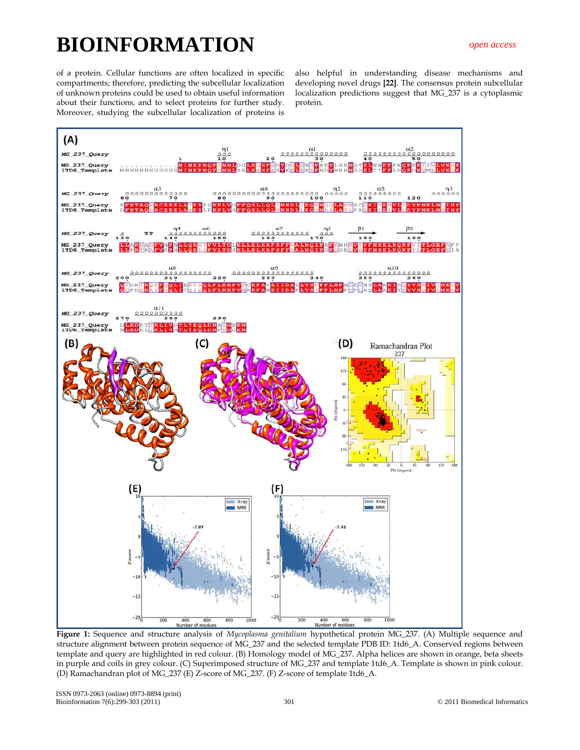of a protein. Cellular functions are often localized in specific compartments; therefore, predicting the subcellular localization of unknown proteins could be used to obtain useful information about their functions, and to select proteins for further study. Moreover, studying the subcellular localization of proteins is

also helpful in understanding disease mechanisms and developing novel drugs **[22]**. The consensus protein subcellular localization predictions suggest that MG\_237 is a cytoplasmic protein.



**Figure 1:** Sequence and structure analysis of *Mycoplasma genitalium* hypothetical protein MG\_237. (A) Multiple sequence and structure alignment between protein sequence of MG\_237 and the selected template PDB ID: 1td6\_A. Conserved regions between template and query are highlighted in red colour. (B) Homology model of MG\_237. Alpha helices are shown in orange, beta sheets in purple and coils in grey colour. (C) Superimposed structure of MG\_237 and template 1td6\_A. Template is shown in pink colour. (D) Ramachandran plot of MG\_237 (E) Z-score of MG\_237. (F) Z-score of template 1td6\_A.

ISSN 0973-2063 (online) 0973-8894 (print) Bioinformation 7(6):299-303 (2011) 301 301 © 2011 Biomedical Information 3031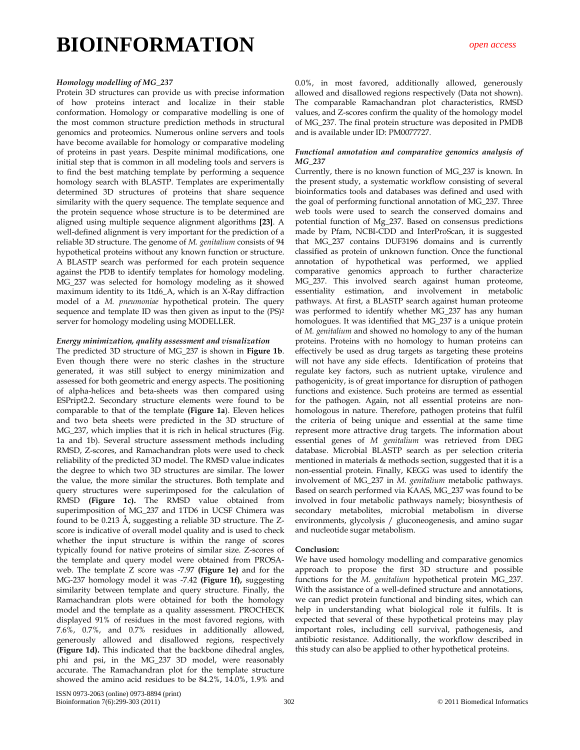#### *Homology modelling of MG\_237*

Protein 3D structures can provide us with precise information of how proteins interact and localize in their stable conformation. Homology or comparative modelling is one of the most common structure prediction methods in structural genomics and proteomics. Numerous online servers and tools have become available for homology or comparative modeling of proteins in past years. Despite minimal modifications, one initial step that is common in all modeling tools and servers is to find the best matching template by performing a sequence homology search with BLASTP. Templates are experimentally determined 3D structures of proteins that share sequence similarity with the query sequence. The template sequence and the protein sequence whose structure is to be determined are aligned using multiple sequence alignment algorithms **[23]**. A well-defined alignment is very important for the prediction of a reliable 3D structure. The genome of *M. genitalium* consists of 94 hypothetical proteins without any known function or structure. A BLASTP search was performed for each protein sequence against the PDB to identify templates for homology modeling. MG\_237 was selected for homology modeling as it showed maximum identity to its 1td6\_A, which is an X-Ray diffraction model of a *M. pneumoniae* hypothetical protein. The query sequence and template ID was then given as input to the (PS)2 server for homology modeling using MODELLER.

#### *Energy minimization, quality assessment and visualization*

The predicted 3D structure of MG\_237 is shown in **Figure 1b**. Even though there were no steric clashes in the structure generated, it was still subject to energy minimization and assessed for both geometric and energy aspects. The positioning of alpha-helices and beta-sheets was then compared using ESPript2.2. Secondary structure elements were found to be comparable to that of the template **(Figure 1a**). Eleven helices and two beta sheets were predicted in the 3D structure of MG\_237, which implies that it is rich in helical structures (Fig. 1a and 1b). Several structure assessment methods including RMSD, Z-scores, and Ramachandran plots were used to check reliability of the predicted 3D model. The RMSD value indicates the degree to which two 3D structures are similar. The lower the value, the more similar the structures. Both template and query structures were superimposed for the calculation of RMSD **(Figure 1c).** The RMSD value obtained from superimposition of MG\_237 and 1TD6 in UCSF Chimera was found to be 0.213 Å, suggesting a reliable 3D structure. The Zscore is indicative of overall model quality and is used to check whether the input structure is within the range of scores typically found for native proteins of similar size. Z-scores of the template and query model were obtained from PROSAweb. The template Z score was -7.97 **(Figure 1e)** and for the MG-237 homology model it was -7.42 **(Figure 1f),** suggesting similarity between template and query structure. Finally, the Ramachandran plots were obtained for both the homology model and the template as a quality assessment. PROCHECK displayed 91% of residues in the most favored regions, with 7.6%, 0.7%, and 0.7% residues in additionally allowed, generously allowed and disallowed regions, respectively **(Figure 1d).** This indicated that the backbone dihedral angles, phi and psi, in the MG\_237 3D model, were reasonably accurate. The Ramachandran plot for the template structure showed the amino acid residues to be 84.2%, 14.0%, 1.9% and

0.0%, in most favored, additionally allowed, generously allowed and disallowed regions respectively (Data not shown). The comparable Ramachandran plot characteristics, RMSD values, and Z-scores confirm the quality of the homology model of MG\_237. The final protein structure was deposited in PMDB and is available under ID: PM0077727.

#### *Functional annotation and comparative genomics analysis of MG\_237*

Currently, there is no known function of MG\_237 is known. In the present study, a systematic workflow consisting of several bioinformatics tools and databases was defined and used with the goal of performing functional annotation of MG\_237. Three web tools were used to search the conserved domains and potential function of Mg\_237. Based on consensus predictions made by Pfam, NCBI-CDD and InterProScan, it is suggested that MG\_237 contains DUF3196 domains and is currently classified as protein of unknown function. Once the functional annotation of hypothetical was performed, we applied comparative genomics approach to further characterize MG\_237. This involved search against human proteome, essentiality estimation, and involvement in metabolic pathways. At first, a BLASTP search against human proteome was performed to identify whether MG\_237 has any human homologues. It was identified that MG\_237 is a unique protein of *M. genitalium* and showed no homology to any of the human proteins. Proteins with no homology to human proteins can effectively be used as drug targets as targeting these proteins will not have any side effects. Identification of proteins that regulate key factors, such as nutrient uptake, virulence and pathogenicity, is of great importance for disruption of pathogen functions and existence. Such proteins are termed as essential for the pathogen. Again, not all essential proteins are nonhomologous in nature. Therefore, pathogen proteins that fulfil the criteria of being unique and essential at the same time represent more attractive drug targets. The information about essential genes of *M genitalium* was retrieved from DEG database. Microbial BLASTP search as per selection criteria mentioned in materials & methods section, suggested that it is a non-essential protein. Finally, KEGG was used to identify the involvement of MG\_237 in *M. genitalium* metabolic pathways. Based on search performed via KAAS, MG\_237 was found to be involved in four metabolic pathways namely; biosynthesis of secondary metabolites, microbial metabolism in diverse environments, glycolysis / gluconeogenesis, and amino sugar and nucleotide sugar metabolism.

#### **Conclusion:**

We have used homology modelling and comparative genomics approach to propose the first 3D structure and possible functions for the *M. genitalium* hypothetical protein MG\_237. With the assistance of a well-defined structure and annotations, we can predict protein functional and binding sites, which can help in understanding what biological role it fulfils. It is expected that several of these hypothetical proteins may play important roles, including cell survival, pathogenesis, and antibiotic resistance. Additionally, the workflow described in this study can also be applied to other hypothetical proteins.

ISSN 0973-2063 (online) 0973-8894 (print) Bioinformation 7(6):299-303 (2011) 302 6 2011 Biomedical Information 302